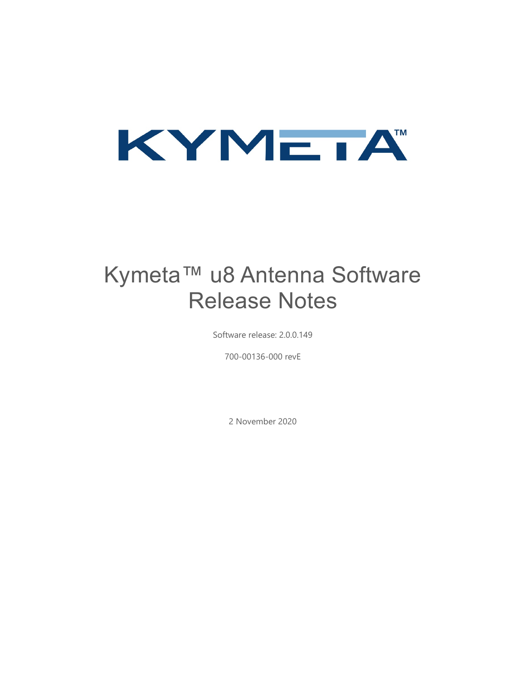

# Kymeta™ u8 Antenna Software Release Notes

Software release: 2.0.0.149

700-00136-000 revE

2 November 2020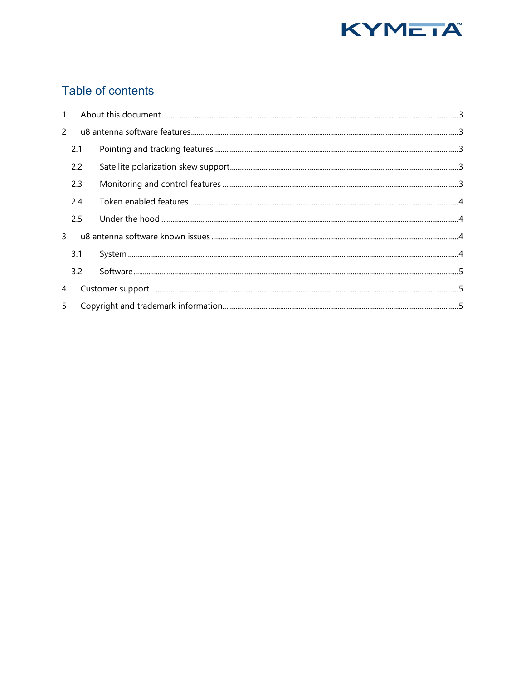

## Table of contents

| $\mathbf{1}$  |     |  |
|---------------|-----|--|
| $\mathcal{P}$ |     |  |
|               | 2.1 |  |
|               | 2.2 |  |
|               | 2.3 |  |
|               | 2.4 |  |
|               | 2.5 |  |
| $\mathbf{3}$  |     |  |
|               | 3.1 |  |
|               | 3.2 |  |
| 4             |     |  |
| 5             |     |  |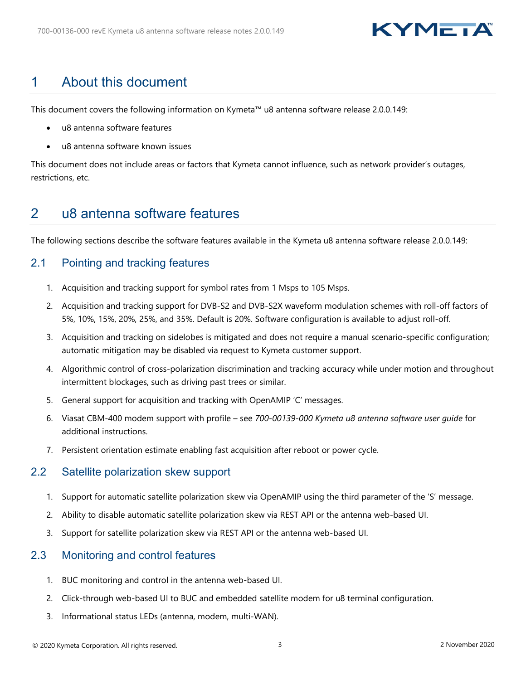## KYMEIA

## <span id="page-2-0"></span>1 About this document

This document covers the following information on Kymeta™ u8 antenna software release 2.0.0.149:

- u8 antenna software features
- u8 antenna software known issues

This document does not include areas or factors that Kymeta cannot influence, such as network provider's outages, restrictions, etc.

## <span id="page-2-1"></span>2 u8 antenna software features

The following sections describe the software features available in the Kymeta u8 antenna software release 2.0.0.149:

### <span id="page-2-2"></span>2.1 Pointing and tracking features

- 1. Acquisition and tracking support for symbol rates from 1 Msps to 105 Msps.
- 2. Acquisition and tracking support for DVB-S2 and DVB-S2X waveform modulation schemes with roll-off factors of 5%, 10%, 15%, 20%, 25%, and 35%. Default is 20%. Software configuration is available to adjust roll-off.
- 3. Acquisition and tracking on sidelobes is mitigated and does not require a manual scenario-specific configuration; automatic mitigation may be disabled via request to Kymeta customer support.
- 4. Algorithmic control of cross-polarization discrimination and tracking accuracy while under motion and throughout intermittent blockages, such as driving past trees or similar.
- 5. General support for acquisition and tracking with OpenAMIP 'C' messages.
- 6. Viasat CBM-400 modem support with profile see *700-00139-000 Kymeta u8 antenna software user guide* for additional instructions.
- 7. Persistent orientation estimate enabling fast acquisition after reboot or power cycle.

#### <span id="page-2-3"></span>2.2 Satellite polarization skew support

- 1. Support for automatic satellite polarization skew via OpenAMIP using the third parameter of the 'S' message.
- 2. Ability to disable automatic satellite polarization skew via REST API or the antenna web-based UI.
- 3. Support for satellite polarization skew via REST API or the antenna web-based UI.

### <span id="page-2-4"></span>2.3 Monitoring and control features

- 1. BUC monitoring and control in the antenna web-based UI.
- 2. Click-through web-based UI to BUC and embedded satellite modem for u8 terminal configuration.
- 3. Informational status LEDs (antenna, modem, multi-WAN).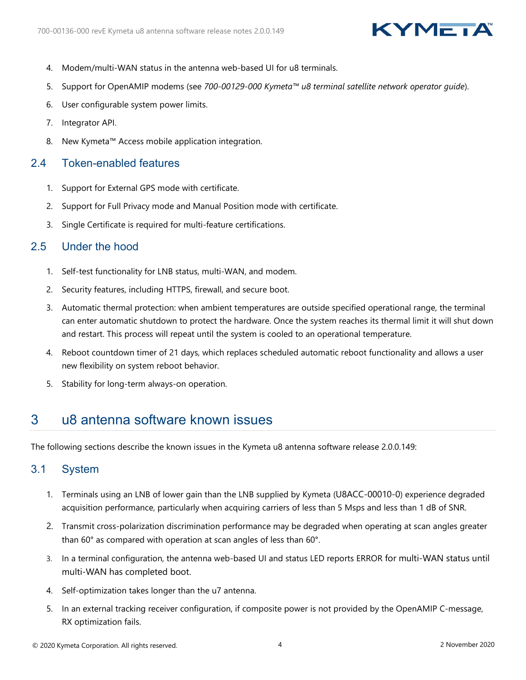## KYMEIA

- 4. Modem/multi-WAN status in the antenna web-based UI for u8 terminals.
- 5. Support for OpenAMIP modems (see *700-00129-000 Kymeta™ u8 terminal satellite network operator guide*).
- 6. User configurable system power limits.
- 7. Integrator API.
- 8. New Kymeta™ Access mobile application integration.

### <span id="page-3-0"></span>2.4 Token-enabled features

- 1. Support for External GPS mode with certificate.
- 2. Support for Full Privacy mode and Manual Position mode with certificate.
- 3. Single Certificate is required for multi-feature certifications.

### <span id="page-3-1"></span>2.5 Under the hood

- 1. Self-test functionality for LNB status, multi-WAN, and modem.
- 2. Security features, including HTTPS, firewall, and secure boot.
- 3. Automatic thermal protection: when ambient temperatures are outside specified operational range, the terminal can enter automatic shutdown to protect the hardware. Once the system reaches its thermal limit it will shut down and restart. This process will repeat until the system is cooled to an operational temperature.
- 4. Reboot countdown timer of 21 days, which replaces scheduled automatic reboot functionality and allows a user new flexibility on system reboot behavior.
- 5. Stability for long-term always-on operation.

### <span id="page-3-2"></span>3 u8 antenna software known issues

The following sections describe the known issues in the Kymeta u8 antenna software release 2.0.0.149:

### <span id="page-3-3"></span>3.1 System

- 1. Terminals using an LNB of lower gain than the LNB supplied by Kymeta (U8ACC-00010-0) experience degraded acquisition performance, particularly when acquiring carriers of less than 5 Msps and less than 1 dB of SNR.
- 2. Transmit cross-polarization discrimination performance may be degraded when operating at scan angles greater than 60° as compared with operation at scan angles of less than 60°.
- 3. In a terminal configuration, the antenna web-based UI and status LED reports ERROR for multi-WAN status until multi-WAN has completed boot.
- 4. Self-optimization takes longer than the u7 antenna.
- 5. In an external tracking receiver configuration, if composite power is not provided by the OpenAMIP C-message, RX optimization fails.